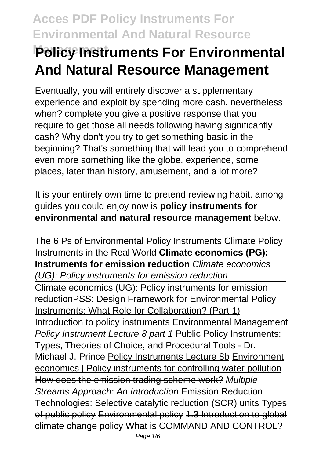# **Policy Instruments For Environmental And Natural Resource Management**

Eventually, you will entirely discover a supplementary experience and exploit by spending more cash. nevertheless when? complete you give a positive response that you require to get those all needs following having significantly cash? Why don't you try to get something basic in the beginning? That's something that will lead you to comprehend even more something like the globe, experience, some places, later than history, amusement, and a lot more?

It is your entirely own time to pretend reviewing habit. among guides you could enjoy now is **policy instruments for environmental and natural resource management** below.

The 6 Ps of Environmental Policy Instruments Climate Policy Instruments in the Real World **Climate economics (PG): Instruments for emission reduction** Climate economics (UG): Policy instruments for emission reduction Climate economics (UG): Policy instruments for emission reductionPSS: Design Framework for Environmental Policy Instruments: What Role for Collaboration? (Part 1) Introduction to policy instruments Environmental Management Policy Instrument Lecture 8 part 1 Public Policy Instruments: Types, Theories of Choice, and Procedural Tools - Dr. Michael J. Prince Policy Instruments Lecture 8b Environment economics | Policy instruments for controlling water pollution How does the emission trading scheme work? Multiple Streams Approach: An Introduction Emission Reduction Technologies: Selective catalytic reduction (SCR) units Types of public policy Environmental policy 1.3 Introduction to global climate change policy What is COMMAND AND CONTROL?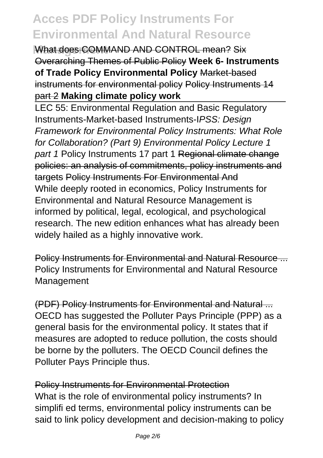**What does COMMAND AND CONTROL mean? Six** Overarching Themes of Public Policy **Week 6- Instruments of Trade Policy Environmental Policy** Market-based instruments for environmental policy Policy Instruments 14 part 2 **Making climate policy work**

LEC 55: Environmental Regulation and Basic Regulatory Instruments-Market-based Instruments-IPSS: Design Framework for Environmental Policy Instruments: What Role for Collaboration? (Part 9) Environmental Policy Lecture 1 part 1 Policy Instruments 17 part 1 Regional climate change policies: an analysis of commitments, policy instruments and targets Policy Instruments For Environmental And While deeply rooted in economics, Policy Instruments for Environmental and Natural Resource Management is informed by political, legal, ecological, and psychological research. The new edition enhances what has already been widely hailed as a highly innovative work.

Policy Instruments for Environmental and Natural Resource ... Policy Instruments for Environmental and Natural Resource Management

(PDF) Policy Instruments for Environmental and Natural ... OECD has suggested the Polluter Pays Principle (PPP) as a general basis for the environmental policy. It states that if measures are adopted to reduce pollution, the costs should be borne by the polluters. The OECD Council defines the Polluter Pays Principle thus.

Policy Instruments for Environmental Protection What is the role of environmental policy instruments? In simplifi ed terms, environmental policy instruments can be said to link policy development and decision-making to policy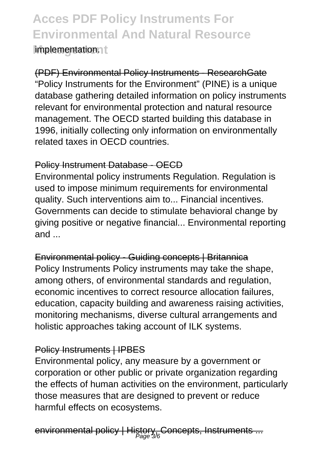### **Acces PDF Policy Instruments For Environmental And Natural Resource Implementationnt**

(PDF) Environmental Policy Instruments - ResearchGate "Policy Instruments for the Environment" (PINE) is a unique database gathering detailed information on policy instruments relevant for environmental protection and natural resource management. The OECD started building this database in 1996, initially collecting only information on environmentally related taxes in OECD countries.

### Policy Instrument Database - OECD

Environmental policy instruments Regulation. Regulation is used to impose minimum requirements for environmental quality. Such interventions aim to... Financial incentives. Governments can decide to stimulate behavioral change by giving positive or negative financial... Environmental reporting and ...

Environmental policy - Guiding concepts | Britannica Policy Instruments Policy instruments may take the shape, among others, of environmental standards and regulation, economic incentives to correct resource allocation failures, education, capacity building and awareness raising activities, monitoring mechanisms, diverse cultural arrangements and holistic approaches taking account of ILK systems.

### Policy Instruments | IPBES

Environmental policy, any measure by a government or corporation or other public or private organization regarding the effects of human activities on the environment, particularly those measures that are designed to prevent or reduce harmful effects on ecosystems.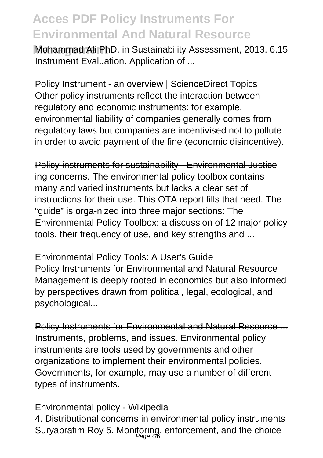**Mohammad Ali PhD, in Sustainability Assessment, 2013, 6.15** Instrument Evaluation. Application of ...

Policy Instrument - an overview | ScienceDirect Topics Other policy instruments reflect the interaction between regulatory and economic instruments: for example, environmental liability of companies generally comes from regulatory laws but companies are incentivised not to pollute in order to avoid payment of the fine (economic disincentive).

Policy instruments for sustainability - Environmental Justice ing concerns. The environmental policy toolbox contains many and varied instruments but lacks a clear set of instructions for their use. This OTA report fills that need. The "guide" is orga-nized into three major sections: The Environmental Policy Toolbox: a discussion of 12 major policy tools, their frequency of use, and key strengths and ...

#### Environmental Policy Tools: A User's Guide

Policy Instruments for Environmental and Natural Resource Management is deeply rooted in economics but also informed by perspectives drawn from political, legal, ecological, and psychological...

Policy Instruments for Environmental and Natural Resource ... Instruments, problems, and issues. Environmental policy instruments are tools used by governments and other organizations to implement their environmental policies. Governments, for example, may use a number of different types of instruments.

### Environmental policy - Wikipedia

4. Distributional concerns in environmental policy instruments Suryapratim Roy 5. Monitoring, enforcement, and the choice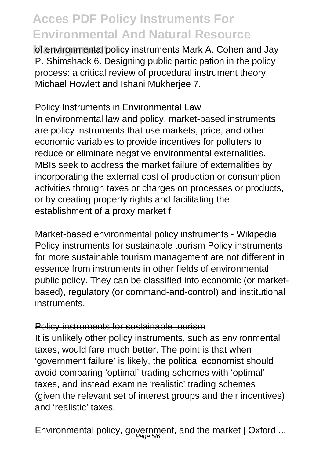of environmental policy instruments Mark A. Cohen and Jay P. Shimshack 6. Designing public participation in the policy process: a critical review of procedural instrument theory Michael Howlett and Ishani Mukherjee 7.

### Policy Instruments in Environmental Law

In environmental law and policy, market-based instruments are policy instruments that use markets, price, and other economic variables to provide incentives for polluters to reduce or eliminate negative environmental externalities. MBIs seek to address the market failure of externalities by incorporating the external cost of production or consumption activities through taxes or charges on processes or products, or by creating property rights and facilitating the establishment of a proxy market f

Market-based environmental policy instruments - Wikipedia Policy instruments for sustainable tourism Policy instruments for more sustainable tourism management are not different in essence from instruments in other fields of environmental public policy. They can be classified into economic (or marketbased), regulatory (or command-and-control) and institutional instruments.

### Policy instruments for sustainable tourism

It is unlikely other policy instruments, such as environmental taxes, would fare much better. The point is that when 'government failure' is likely, the political economist should avoid comparing 'optimal' trading schemes with 'optimal' taxes, and instead examine 'realistic' trading schemes (given the relevant set of interest groups and their incentives) and 'realistic' taxes.

Environmental policy, government, and the market | Oxford ...  $\overline{\phantom{a}}$